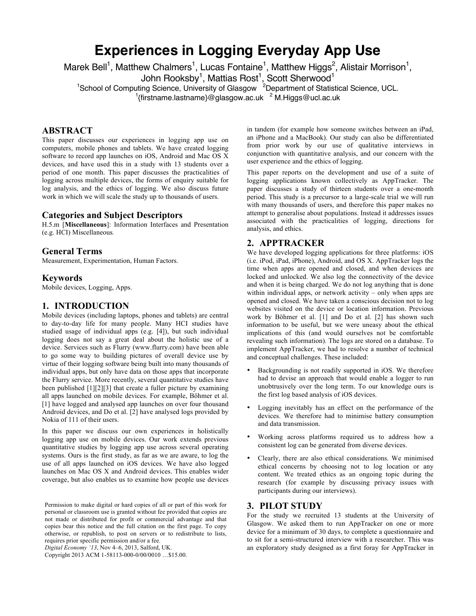# **Experiences in Logging Everyday App Use**

Marek Bell<sup>1</sup>, Matthew Chalmers<sup>1</sup>, Lucas Fontaine<sup>1</sup>, Matthew Higgs<sup>2</sup>, Alistair Morrison<sup>1</sup>,

John Rooksby<sup>1</sup>, Mattias Rost<sup>1</sup>, Scott Sherwood<sup>1</sup><br><sup>1</sup>School of Computing Science, University of Glasgow <sup>2</sup>Department of Statistical Science, UCL.<sup>1</sup><br><sup>1</sup>{firstname.lastname}@glasgow.ac.uk <sup>2</sup> M.Higgs@ucl.ac.uk

## **ABSTRACT**

This paper discusses our experiences in logging app use on computers, mobile phones and tablets. We have created logging software to record app launches on iOS, Android and Mac OS X devices, and have used this in a study with 13 students over a period of one month. This paper discusses the practicalities of logging across multiple devices, the forms of enquiry suitable for log analysis, and the ethics of logging. We also discuss future work in which we will scale the study up to thousands of users.

#### **Categories and Subject Descriptors**

H.5.m [**Miscellaneous**]: Information Interfaces and Presentation (e.g. HCI) Miscellaneous*.*

#### **General Terms**

Measurement, Experimentation, Human Factors.

#### **Keywords**

Mobile devices, Logging, Apps.

#### **1. INTRODUCTION**

Mobile devices (including laptops, phones and tablets) are central to day-to-day life for many people. Many HCI studies have studied usage of individual apps (e.g. [4]), but such individual logging does not say a great deal about the holistic use of a device. Services such as Flurry (www.flurry.com) have been able to go some way to building pictures of overall device use by virtue of their logging software being built into many thousands of individual apps, but only have data on those apps that incorporate the Flurry service. More recently, several quantitative studies have been published [1][2][3] that create a fuller picture by examining all apps launched on mobile devices. For example, Böhmer et al. [1] have logged and analysed app launches on over four thousand Android devices, and Do et al. [2] have analysed logs provided by Nokia of 111 of their users.

In this paper we discuss our own experiences in holistically logging app use on mobile devices. Our work extends previous quantitative studies by logging app use across several operating systems. Ours is the first study, as far as we are aware, to log the use of all apps launched on iOS devices. We have also logged launches on Mac OS X and Android devices. This enables wider coverage, but also enables us to examine how people use devices

Permission to make digital or hard copies of all or part of this work for personal or classroom use is granted without fee provided that copies are not made or distributed for profit or commercial advantage and that copies bear this notice and the full citation on the first page. To copy otherwise, or republish, to post on servers or to redistribute to lists, requires prior specific permission and/or a fee.

*Digital Economy '13*, Nov 4–6, 2013, Salford, UK.

Copyright 2013 ACM 1-58113-000-0/00/0010 …\$15.00.

in tandem (for example how someone switches between an iPad, an iPhone and a MacBook). Our study can also be differentiated from prior work by our use of qualitative interviews in conjunction with quantitative analysis, and our concern with the user experience and the ethics of logging.

This paper reports on the development and use of a suite of logging applications known collectively as AppTracker. The paper discusses a study of thirteen students over a one-month period. This study is a precursor to a large-scale trial we will run with many thousands of users, and therefore this paper makes no attempt to generalise about populations. Instead it addresses issues associated with the practicalities of logging, directions for analysis, and ethics.

## **2. APPTRACKER**

We have developed logging applications for three platforms: iOS (i.e. iPod, iPad, iPhone), Android, and OS X. AppTracker logs the time when apps are opened and closed, and when devices are locked and unlocked. We also log the connectivity of the device and when it is being charged. We do not log anything that is done within individual apps, or network activity – only when apps are opened and closed. We have taken a conscious decision not to log websites visited on the device or location information. Previous work by Böhmer et al. [1] and Do et al. [2] has shown such information to be useful, but we were uneasy about the ethical implications of this (and would ourselves not be comfortable revealing such information). The logs are stored on a database. To implement AppTracker, we had to resolve a number of technical and conceptual challenges. These included:

- Backgrounding is not readily supported in iOS. We therefore had to devise an approach that would enable a logger to run unobtrusively over the long term. To our knowledge ours is the first log based analysis of iOS devices.
- Logging inevitably has an effect on the performance of the devices. We therefore had to minimise battery consumption and data transmission.
- Working across platforms required us to address how a consistent log can be generated from diverse devices.
- Clearly, there are also ethical considerations. We minimised ethical concerns by choosing not to log location or any content. We treated ethics as an ongoing topic during the research (for example by discussing privacy issues with participants during our interviews).

#### **3. PILOT STUDY**

For the study we recruited 13 students at the University of Glasgow. We asked them to run AppTracker on one or more device for a minimum of 30 days, to complete a questionnaire and to sit for a semi-structured interview with a researcher. This was an exploratory study designed as a first foray for AppTracker in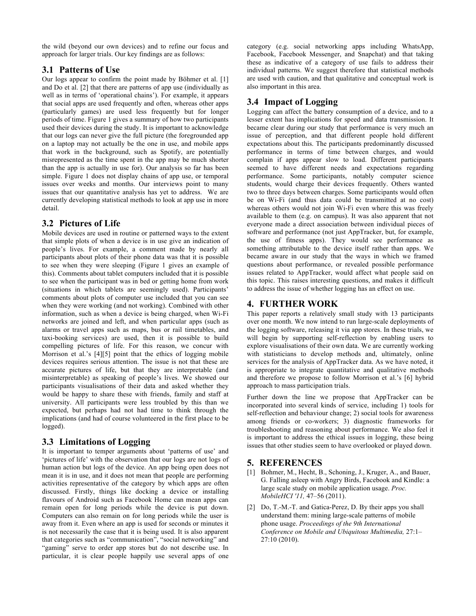the wild (beyond our own devices) and to refine our focus and approach for larger trials. Our key findings are as follows:

## **3.1 Patterns of Use**

Our logs appear to confirm the point made by Böhmer et al. [1] and Do et al. [2] that there are patterns of app use (individually as well as in terms of 'operational chains'). For example, it appears that social apps are used frequently and often, whereas other apps (particularly games) are used less frequently but for longer periods of time. Figure 1 gives a summary of how two participants used their devices during the study. It is important to acknowledge that our logs can never give the full picture (the foregrounded app on a laptop may not actually be the one in use, and mobile apps that work in the background, such as Spotify, are potentially misrepresented as the time spent in the app may be much shorter than the app is actually in use for). Our analysis so far has been simple. Figure 1 does not display chains of app use, or temporal issues over weeks and months. Our interviews point to many issues that our quantitative analysis has yet to address. We are currently developing statistical methods to look at app use in more detail.

## **3.2 Pictures of Life**

Mobile devices are used in routine or patterned ways to the extent that simple plots of when a device is in use give an indication of people's lives. For example, a comment made by nearly all participants about plots of their phone data was that it is possible to see when they were sleeping (Figure 1 gives an example of this). Comments about tablet computers included that it is possible to see when the participant was in bed or getting home from work (situations in which tablets are seemingly used). Participants' comments about plots of computer use included that you can see when they were working (and not working). Combined with other information, such as when a device is being charged, when Wi-Fi networks are joined and left, and when particular apps (such as alarms or travel apps such as maps, bus or rail timetables, and taxi-booking services) are used, then it is possible to build compelling pictures of life. For this reason, we concur with Morrison et al.'s [4][5] point that the ethics of logging mobile devices requires serious attention. The issue is not that these are accurate pictures of life, but that they are interpretable (and misinterpretable) as speaking of people's lives. We showed our participants visualisations of their data and asked whether they would be happy to share these with friends, family and staff at university. All participants were less troubled by this than we expected, but perhaps had not had time to think through the implications (and had of course volunteered in the first place to be logged).

# **3.3 Limitations of Logging**

It is important to temper arguments about 'patterns of use' and 'pictures of life' with the observation that our logs are not logs of human action but logs of the device. An app being open does not mean it is in use, and it does not mean that people are performing activities representative of the category by which apps are often discussed. Firstly, things like docking a device or installing flavours of Android such as Facebook Home can mean apps can remain open for long periods while the device is put down. Computers can also remain on for long periods while the user is away from it. Even where an app is used for seconds or minutes it is not necessarily the case that it is being used. It is also apparent that categories such as "communication", "social networking" and "gaming" serve to order app stores but do not describe use. In particular, it is clear people happily use several apps of one

category (e.g. social networking apps including WhatsApp, Facebook, Facebook Messenger, and Snapchat) and that taking these as indicative of a category of use fails to address their individual patterns. We suggest therefore that statistical methods are used with caution, and that qualitative and conceptual work is also important in this area.

# **3.4 Impact of Logging**

Logging can affect the battery consumption of a device, and to a lesser extent has implications for speed and data transmission. It became clear during our study that performance is very much an issue of perception, and that different people hold different expectations about this. The participants predominantly discussed performance in terms of time between charges, and would complain if apps appear slow to load. Different participants seemed to have different needs and expectations regarding performance. Some participants, notably computer science students, would charge their devices frequently. Others wanted two to three days between charges. Some participants would often be on Wi-Fi (and thus data could be transmitted at no cost) whereas others would not join Wi-Fi even where this was freely available to them (e.g. on campus). It was also apparent that not everyone made a direct association between individual pieces of software and performance (not just AppTracker, but, for example, the use of fitness apps). They would see performance as something attributable to the device itself rather than apps. We became aware in our study that the ways in which we framed questions about performance, or revealed possible performance issues related to AppTracker, would affect what people said on this topic. This raises interesting questions, and makes it difficult to address the issue of whether logging has an effect on use.

# **4. FURTHER WORK**

This paper reports a relatively small study with 13 participants over one month. We now intend to run large-scale deployments of the logging software, releasing it via app stores. In these trials, we will begin by supporting self-reflection by enabling users to explore visualisations of their own data. We are currently working with statisticians to develop methods and, ultimately, online services for the analysis of AppTracker data. As we have noted, it is appropriate to integrate quantitative and qualitative methods and therefore we propose to follow Morrison et al.'s [6] hybrid approach to mass participation trials.

Further down the line we propose that AppTracker can be incorporated into several kinds of service, including 1) tools for self-reflection and behaviour change; 2) social tools for awareness among friends or co-workers; 3) diagnostic frameworks for troubleshooting and reasoning about performance. We also feel it is important to address the ethical issues in logging, these being issues that other studies seem to have overlooked or played down.

## **5. REFERENCES**

- [1] Bohmer, M., Hecht, B., Schoning, J., Kruger, A., and Bauer, G. Falling asleep with Angry Birds, Facebook and Kindle: a large scale study on mobile application usage. *Proc. MobileHCI '11,* 47–56 (2011).
- [2] Do, T.-M.-T. and Gatica-Perez, D. By their apps you shall understand them: mining large-scale patterns of mobile phone usage. *Proceedings of the 9th International Conference on Mobile and Ubiquitous Multimedia,* 27:1– 27:10 (2010).